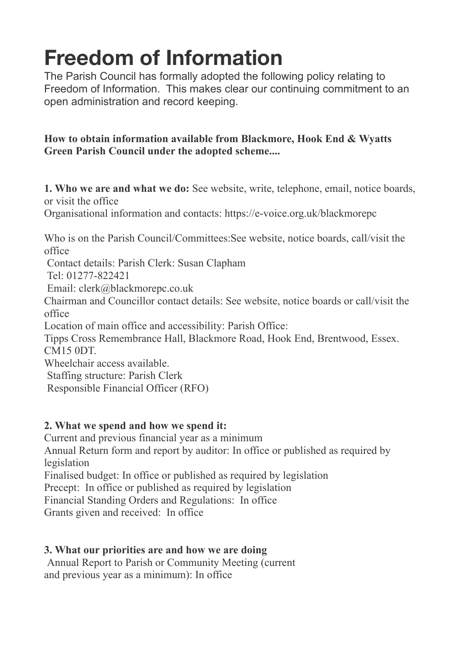# **Freedom of Information**

The Parish Council has formally adopted the following policy relating to Freedom of Information. This makes clear our continuing commitment to an open administration and record keeping.

## **How to obtain information available from Blackmore, Hook End & Wyatts Green Parish Council under the adopted scheme....**

**1. Who we are and what we do:** See website, write, telephone, email, notice boards, or visit the office

Organisational information and contacts: https://e-voice.org.uk/blackmorepc

Who is on the Parish Council/Committees:See website, notice boards, call/visit the office

Contact details: Parish Clerk: Susan Clapham

Tel: 01277-822421

Email: clerk@blackmorepc.co.uk

Chairman and Councillor contact details: See website, notice boards or call/visit the office

Location of main office and accessibility: Parish Office:

Tipps Cross Remembrance Hall, Blackmore Road, Hook End, Brentwood, Essex. CM15 0DT.

Wheelchair access available.

Staffing structure: Parish Clerk

Responsible Financial Officer (RFO)

## **2. What we spend and how we spend it:**

Current and previous financial year as a minimum

Annual Return form and report by auditor: In office or published as required by legislation

Finalised budget: In office or published as required by legislation

Precept: In office or published as required by legislation

Financial Standing Orders and Regulations: In office

Grants given and received: In office

#### **3. What our priorities are and how we are doing**

Annual Report to Parish or Community Meeting (current and previous year as a minimum): In office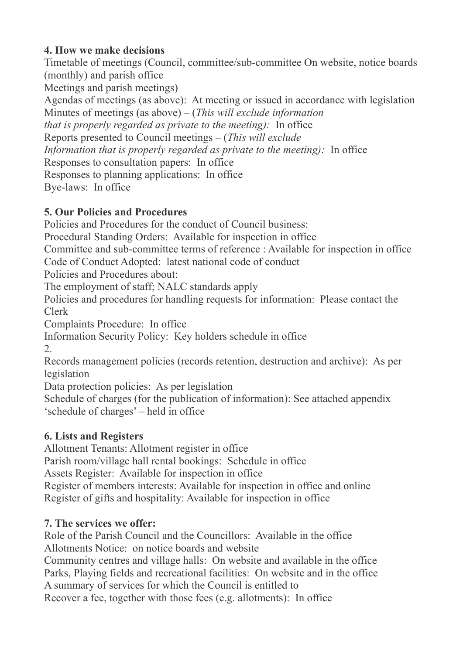## **4. How we make decisions**

Timetable of meetings (Council, committee/sub-committee On website, notice boards (monthly) and parish office

Meetings and parish meetings)

Agendas of meetings (as above): At meeting or issued in accordance with legislation Minutes of meetings (as above) – (*This will exclude information*

*that is properly regarded as private to the meeting):* In office

Reports presented to Council meetings – (*This will exclude*

*Information that is properly regarded as private to the meeting)*: In office

Responses to consultation papers: In office

Responses to planning applications: In office

Bye-laws: In office

## **5. Our Policies and Procedures**

Policies and Procedures for the conduct of Council business:

Procedural Standing Orders: Available for inspection in office

Committee and sub-committee terms of reference : Available for inspection in office Code of Conduct Adopted: latest national code of conduct

Policies and Procedures about:

The employment of staff; NALC standards apply

Policies and procedures for handling requests for information: Please contact the Clerk

Complaints Procedure: In office

Information Security Policy: Key holders schedule in office

2.

Records management policies (records retention, destruction and archive): As per legislation

Data protection policies: As per legislation

Schedule of charges (for the publication of information): See attached appendix 'schedule of charges' – held in office

## **6. Lists and Registers**

Allotment Tenants: Allotment register in office

Parish room/village hall rental bookings: Schedule in office

Assets Register: Available for inspection in office

Register of members interests: Available for inspection in office and online Register of gifts and hospitality: Available for inspection in office

## **7. The services we offer:**

Role of the Parish Council and the Councillors: Available in the office Allotments Notice: on notice boards and website

Community centres and village halls: On website and available in the office Parks, Playing fields and recreational facilities: On website and in the office A summary of services for which the Council is entitled to

Recover a fee, together with those fees (e.g. allotments): In office